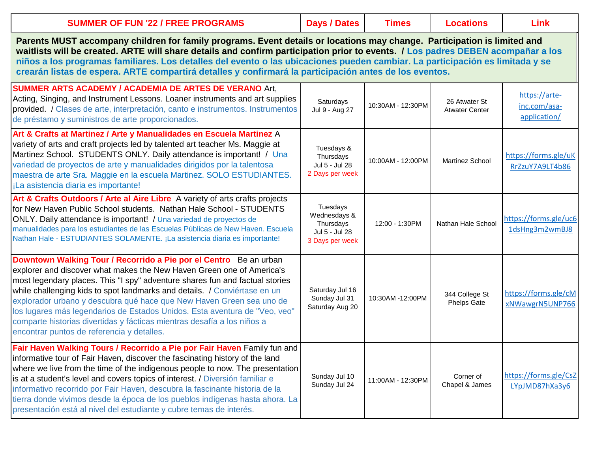| <b>SUMMER OF FUN '22 / FREE PROGRAMS</b>                                                                                                                                                                                                                                                                                                                                                                                                                                                                                                                                               | <b>Days / Dates</b>                                                        | <b>Times</b>      | <b>Locations</b>                       | Link                                          |
|----------------------------------------------------------------------------------------------------------------------------------------------------------------------------------------------------------------------------------------------------------------------------------------------------------------------------------------------------------------------------------------------------------------------------------------------------------------------------------------------------------------------------------------------------------------------------------------|----------------------------------------------------------------------------|-------------------|----------------------------------------|-----------------------------------------------|
| Parents MUST accompany children for family programs. Event details or locations may change. Participation is limited and<br>waitlists will be created. ARTE will share details and confirm participation prior to events. / Los padres DEBEN acompañar a los<br>niños a los programas familiares. Los detalles del evento o las ubicaciones pueden cambiar. La participación es limitada y se<br>crearán listas de espera. ARTE compartirá detalles y confirmará la participación antes de los eventos.                                                                                |                                                                            |                   |                                        |                                               |
| <b>SUMMER ARTS ACADEMY / ACADEMIA DE ARTES DE VERANO Art,</b><br>Acting, Singing, and Instrument Lessons. Loaner instruments and art supplies<br>provided. / Clases de arte, interpretación, canto e instrumentos. Instrumentos<br>de préstamo y suministros de arte proporcionados.                                                                                                                                                                                                                                                                                                   | Saturdays<br>Jul 9 - Aug 27                                                | 10:30AM - 12:30PM | 26 Atwater St<br><b>Atwater Center</b> | https://arte-<br>inc.com/asa-<br>application/ |
| Art & Crafts at Martinez / Arte y Manualidades en Escuela Martinez A<br>variety of arts and craft projects led by talented art teacher Ms. Maggie at<br>Martinez School. STUDENTS ONLY. Daily attendance is important! / Una<br>variedad de proyectos de arte y manualidades dirigidos por la talentosa<br>maestra de arte Sra. Maggie en la escuela Martinez. SOLO ESTUDIANTES.<br>¡La asistencia diaria es importante!                                                                                                                                                               | Tuesdays &<br>Thursdays<br>Jul 5 - Jul 28<br>2 Days per week               | 10:00AM - 12:00PM | <b>Martinez School</b>                 | https://forms.gle/uK<br>RrZzuY7A9LT4b86       |
| Art & Crafts Outdoors / Arte al Aire Libre A variety of arts crafts projects<br>for New Haven Public School students. Nathan Hale School - STUDENTS<br>ONLY. Daily attendance is important! / Una variedad de proyectos de<br>manualidades para los estudiantes de las Escuelas Públicas de New Haven. Escuela<br>Nathan Hale - ESTUDIANTES SOLAMENTE. ¡La asistencia diaria es importante!                                                                                                                                                                                            | Tuesdays<br>Wednesdays &<br>Thursdays<br>Jul 5 - Jul 28<br>3 Days per week | 12:00 - 1:30PM    | Nathan Hale School                     | https://forms.gle/uc6<br>1dsHng3m2wmBJ8       |
| Downtown Walking Tour / Recorrido a Pie por el Centro Be an urban<br>explorer and discover what makes the New Haven Green one of America's<br>most legendary places. This "I spy" adventure shares fun and factual stories<br>while challenging kids to spot landmarks and details. / Conviértase en un<br>explorador urbano y descubra qué hace que New Haven Green sea uno de<br>los lugares más legendarios de Estados Unidos. Esta aventura de "Veo, veo"<br>comparte historias divertidas y fácticas mientras desafía a los niños a<br>encontrar puntos de referencia y detalles. | Saturday Jul 16<br>Sunday Jul 31<br>Saturday Aug 20                        | 10:30AM -12:00PM  | 344 College St<br><b>Phelps Gate</b>   | https://forms.gle/cM<br>xNWawgrN5UNP766       |
| Fair Haven Walking Tours / Recorrido a Pie por Fair Haven Family fun and<br>informative tour of Fair Haven, discover the fascinating history of the land<br>where we live from the time of the indigenous people to now. The presentation<br>is at a student's level and covers topics of interest. / Diversión familiar e<br>informativo recorrido por Fair Haven, descubra la fascinante historia de la<br>tierra donde vivimos desde la época de los pueblos indígenas hasta ahora. La<br>presentación está al nivel del estudiante y cubre temas de interés.                       | Sunday Jul 10<br>Sunday Jul 24                                             | 11:00AM - 12:30PM | Corner of<br>Chapel & James            | https://forms.gle/CsZ<br>LYpJMD87hXa3y6       |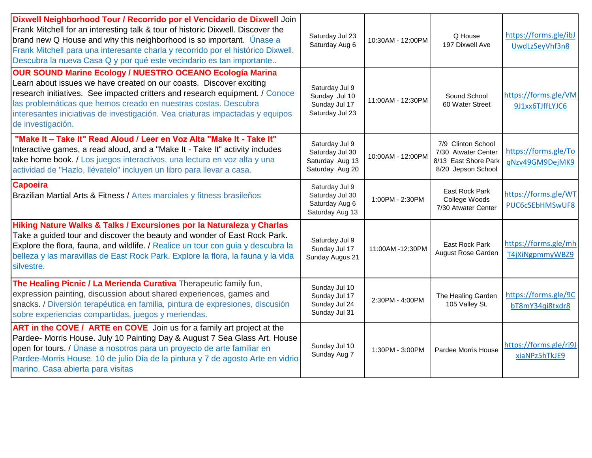| Dixwell Neighborhood Tour / Recorrido por el Vencidario de Dixwell Join<br>Frank Mitchell for an interesting talk & tour of historic Dixwell. Discover the<br>brand new Q House and why this neighborhood is so important. Unase a<br>Frank Mitchell para una interesante charla y recorrido por el histórico Dixwell.<br>Descubra la nueva Casa Q y por qué este vecindario es tan importante   | Saturday Jul 23<br>Saturday Aug 6                                       | 10:30AM - 12:00PM | Q House<br>197 Dixwell Ave                                                              | https://forms.gle/ibJ<br>UwdLzSeyVhf3n8 |
|--------------------------------------------------------------------------------------------------------------------------------------------------------------------------------------------------------------------------------------------------------------------------------------------------------------------------------------------------------------------------------------------------|-------------------------------------------------------------------------|-------------------|-----------------------------------------------------------------------------------------|-----------------------------------------|
| <b>OUR SOUND Marine Ecology / NUESTRO OCEANO Ecología Marina</b><br>Learn about issues we have created on our coasts. Discover exciting<br>research initiatives. See impacted critters and research equipment. / Conoce<br>las problemáticas que hemos creado en nuestras costas. Descubra<br>interesantes iniciativas de investigación. Vea criaturas impactadas y equipos<br>de investigación. | Saturday Jul 9<br>Sunday Jul 10<br>Sunday Jul 17<br>Saturday Jul 23     | 11:00AM - 12:30PM | Sound School<br>60 Water Street                                                         | https://forms.gle/VM<br>9J1xx6TJffLYJC6 |
| "Make It - Take It" Read Aloud / Leer en Voz Alta "Make It - Take It"<br>Interactive games, a read aloud, and a "Make It - Take It" activity includes<br>take home book. / Los juegos interactivos, una lectura en voz alta y una<br>actividad de "Hazlo, llévatelo" incluyen un libro para llevar a casa.                                                                                       | Saturday Jul 9<br>Saturday Jul 30<br>Saturday Aug 13<br>Saturday Aug 20 | 10:00AM - 12:00PM | 7/9 Clinton School<br>7/30 Atwater Center<br>8/13 East Shore Park<br>8/20 Jepson School | https://forms.gle/To<br>qNzv49GM9DejMK9 |
| <b>Capoeira</b><br>Brazilian Martial Arts & Fitness / Artes marciales y fitness brasileños                                                                                                                                                                                                                                                                                                       | Saturday Jul 9<br>Saturday Jul 30<br>Saturday Aug 6<br>Saturday Aug 13  | 1:00PM - 2:30PM   | East Rock Park<br>College Woods<br>7/30 Atwater Center                                  | https://forms.gle/WT<br>PUC6cSEbHMSwUF8 |
| Hiking Nature Walks & Talks / Excursiones por la Naturaleza y Charlas<br>Take a guided tour and discover the beauty and wonder of East Rock Park.<br>Explore the flora, fauna, and wildlife. / Realice un tour con guia y descubra la<br>belleza y las maravillas de East Rock Park. Explore la flora, la fauna y la vida<br>silvestre.                                                          | Saturday Jul 9<br>Sunday Jul 17<br>Sunday Augus 21                      | 11:00AM -12:30PM  | East Rock Park<br>August Rose Garden                                                    | https://forms.gle/mh<br>T4jXiNgpmmyWBZ9 |
| The Healing Picnic / La Merienda Curativa Therapeutic family fun,<br>expression painting, discussion about shared experiences, games and<br>snacks. / Diversión terapéutica en familia, pintura de expresiones, discusión<br>sobre experiencias compartidas, juegos y meriendas.                                                                                                                 | Sunday Jul 10<br>Sunday Jul 17<br>Sunday Jul 24<br>Sunday Jul 31        | 2:30PM - 4:00PM   | The Healing Garden<br>105 Valley St.                                                    | https://forms.gle/9C<br>bT8mY34qi8txdr8 |
| ART in the COVE / ARTE en COVE Join us for a family art project at the<br>Pardee- Morris House. July 10 Painting Day & August 7 Sea Glass Art. House<br>open for tours. / Únase a nosotros para un proyecto de arte familiar en<br>Pardee-Morris House. 10 de julio Día de la pintura y 7 de agosto Arte en vidrio<br>marino. Casa abierta para visitas                                          | Sunday Jul 10<br>Sunday Aug 7                                           | 1:30PM - 3:00PM   | Pardee Morris House                                                                     | https://forms.gle/rj9J<br>xiaNPz5hTkJE9 |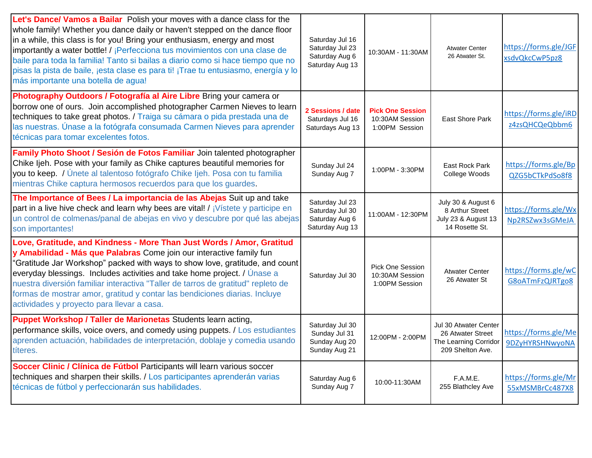| Let's Dance/ Vamos a Bailar Polish your moves with a dance class for the<br>whole family! Whether you dance daily or haven't stepped on the dance floor<br>in a while, this class is for you! Bring your enthusiasm, energy and most<br>importantly a water bottle! / ¡Perfecciona tus movimientos con una clase de<br>baile para toda la familia! Tanto si bailas a diario como si hace tiempo que no<br>pisas la pista de baile, jesta clase es para ti! ¡Trae tu entusiasmo, energía y lo<br>más importante una botella de agua! | Saturday Jul 16<br>Saturday Jul 23<br>Saturday Aug 6<br>Saturday Aug 13 | 10:30AM - 11:30AM                                            | <b>Atwater Center</b><br>26 Atwater St.                                                 | https://forms.gle/JGF<br>xsdvQkcCwP5pz8        |
|-------------------------------------------------------------------------------------------------------------------------------------------------------------------------------------------------------------------------------------------------------------------------------------------------------------------------------------------------------------------------------------------------------------------------------------------------------------------------------------------------------------------------------------|-------------------------------------------------------------------------|--------------------------------------------------------------|-----------------------------------------------------------------------------------------|------------------------------------------------|
| Photography Outdoors / Fotografía al Aire Libre Bring your camera or<br>borrow one of ours. Join accomplished photographer Carmen Nieves to learn<br>techniques to take great photos. / Traiga su cámara o pida prestada una de<br>las nuestras. Únase a la fotógrafa consumada Carmen Nieves para aprender<br>técnicas para tomar excelentes fotos.                                                                                                                                                                                | 2 Sessions / date<br>Saturdays Jul 16<br>Saturdays Aug 13               | <b>Pick One Session</b><br>10:30AM Session<br>1:00PM Session | <b>East Shore Park</b>                                                                  | https://forms.gle/iRD<br>z4zsQHCQeQbbm6        |
| Family Photo Shoot / Sesión de Fotos Familiar Join talented photographer<br>Chike lieh. Pose with your family as Chike captures beautiful memories for<br>you to keep. / Únete al talentoso fotógrafo Chike ljeh. Posa con tu familia<br>mientras Chike captura hermosos recuerdos para que los guardes.                                                                                                                                                                                                                            | Sunday Jul 24<br>Sunday Aug 7                                           | 1:00PM - 3:30PM                                              | East Rock Park<br>College Woods                                                         | https://forms.gle/Bp<br>QZG5bCTkPdSo8f8        |
| The Importance of Bees / La importancia de las Abejas Suit up and take<br>part in a live hive check and learn why bees are vital! / jVistete y participe en<br>un control de colmenas/panal de abejas en vivo y descubre por qué las abejas<br>son importantes!                                                                                                                                                                                                                                                                     | Saturday Jul 23<br>Saturday Jul 30<br>Saturday Aug 6<br>Saturday Aug 13 | 11:00AM - 12:30PM                                            | July 30 & August 6<br>8 Arthur Street<br>July 23 & August 13<br>14 Rosette St.          | https://forms.gle/Wx<br>Np2RSZwx3sGMeJA        |
| Love, Gratitude, and Kindness - More Than Just Words / Amor, Gratitud<br>y Amabilidad - Más que Palabras Come join our interactive family fun<br>"Gratitude Jar Workshop" packed with ways to show love, gratitude, and count<br>everyday blessings. Includes activities and take home project. / Unase a<br>nuestra diversión familiar interactiva "Taller de tarros de gratitud" repleto de<br>formas de mostrar amor, gratitud y contar las bendiciones diarias. Incluye<br>actividades y proyecto para llevar a casa.           | Saturday Jul 30                                                         | <b>Pick One Session</b><br>10:30AM Session<br>1:00PM Session | <b>Atwater Center</b><br>26 Atwater St                                                  | https://forms.gle/wC<br>G8oATmFzQJRTgo8        |
| Puppet Workshop / Taller de Marionetas Students learn acting,<br>performance skills, voice overs, and comedy using puppets. / Los estudiantes<br>aprenden actuación, habilidades de interpretación, doblaje y comedia usando<br>títeres.                                                                                                                                                                                                                                                                                            | Saturday Jul 30<br>Sunday Jul 31<br>Sunday Aug 20<br>Sunday Aug 21      | 12:00PM - 2:00PM                                             | Jul 30 Atwater Center<br>26 Atwater Street<br>The Learning Corridor<br>209 Shelton Ave. | https://forms.gle/Me<br><b>9DZyHYRSHNwyoNA</b> |
| Soccer Clinic / Clínica de Fútbol Participants will learn various soccer<br>techniques and sharpen their skills. / Los participantes aprenderán varias<br>técnicas de fútbol y perfeccionarán sus habilidades.                                                                                                                                                                                                                                                                                                                      | Saturday Aug 6<br>Sunday Aug 7                                          | 10:00-11:30AM                                                | F.A.M.E.<br>255 Blathcley Ave                                                           | https://forms.gle/Mr<br>55xMSMBrCc487X8        |